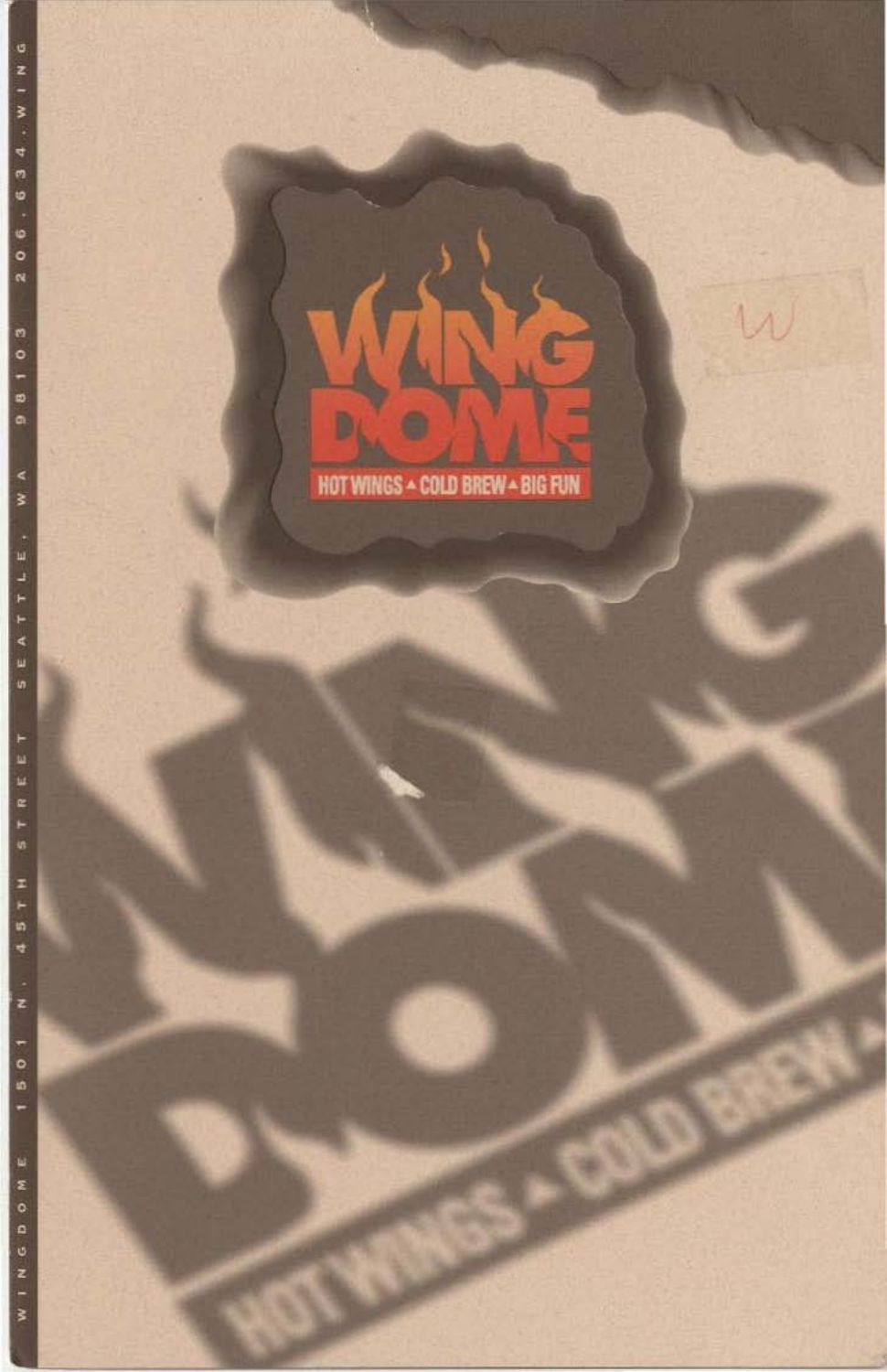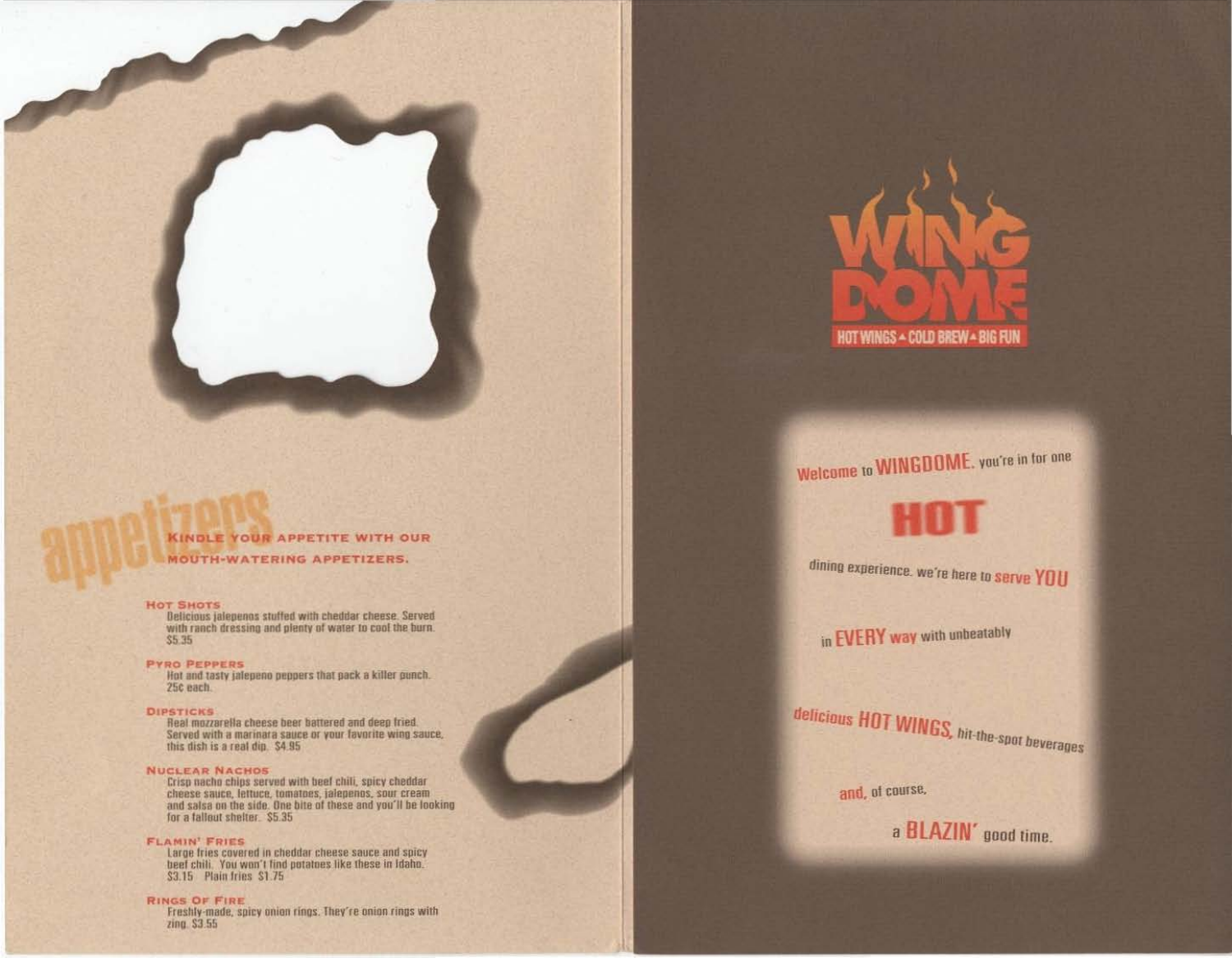# **KINDLE YOUR APPETITE WITH OUR MOUTH-WATERING APPETIZERS.**

### **HOT SHOTS**

Belicious jalepenos stuffed with cheddar cheese. Served with ranch dressing and plenty of water to cool the burn.  $$5.35$ 

**PYRO PEPPERS** Hot and tasty jalepeno peppers that pack a killer punch. 25c each.

#### **DIPSTICKS**

Real mozzarella cheese beer battered and deep fried. Served with a marinara sauce or your favorite wing sauce,<br>this dish is a real dip. \$4.95

### **NUCLEAR NACHOS**

Crisp nacho chips served with beef chili, spicy cheddar cheese sauce, lettuce, tomatoes, jalepenos, sour cream and salsa on the side. One bite of these and you'll be looking for a fallout shelter. \$5.35

# **FLAMIN' FRIES**

Large fries covered in cheddar cheese sauce and spicy beef chili. You won't find potatoes like these in Idaho. \$3.15 Plain fries \$1.75

**RINGS OF FIRE** Freshly-made, spicy onion rings. They're onion rings with zing. \$3.55

![](_page_1_Picture_11.jpeg)

Welcome to WINGDOME, you're in for one

dining experience, we're here to serve YOU

in EVERY way with unbeatably

delicious HOT WINGS, hit-the-spot beverages

and, of course,

a BLAZIN' good time.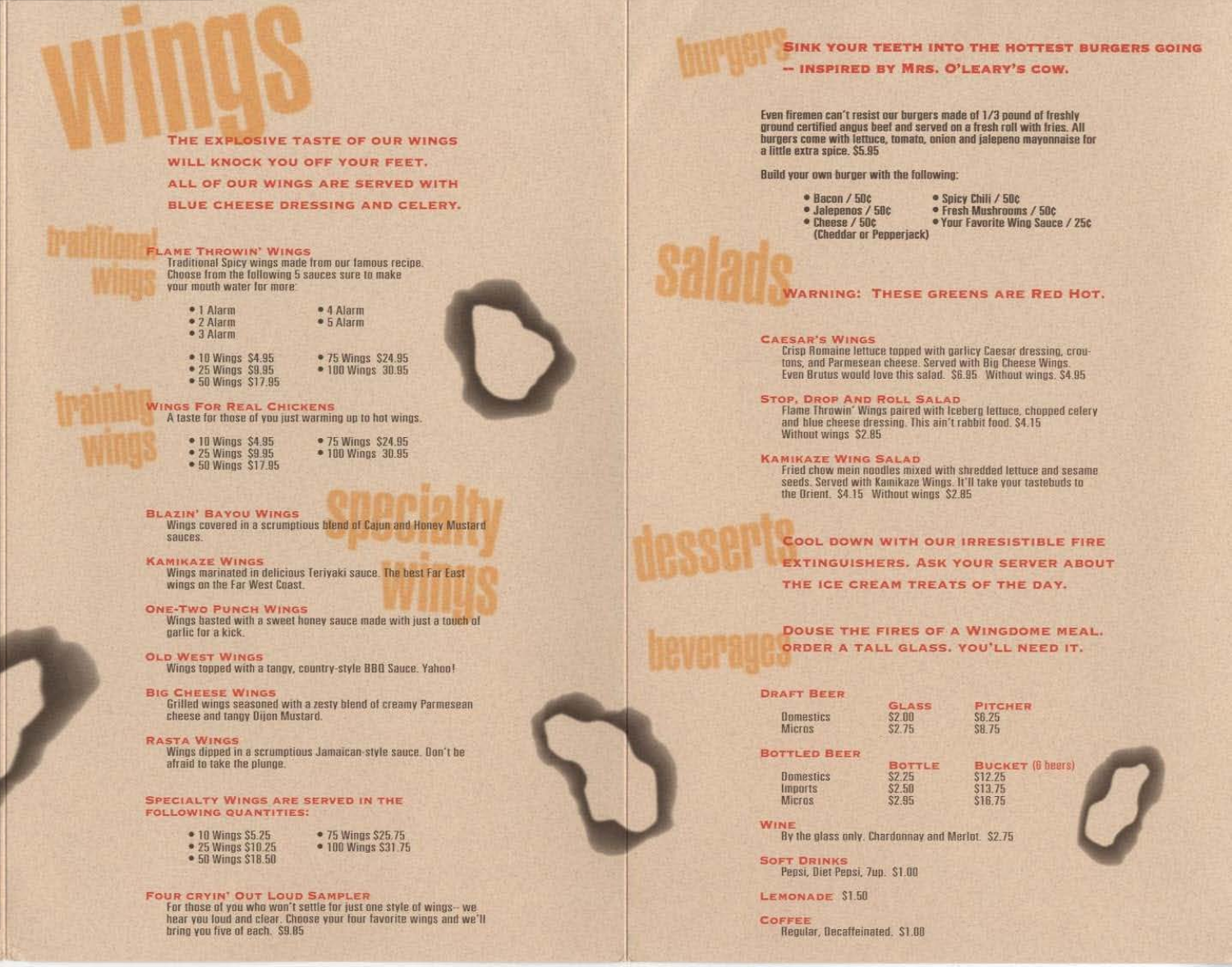## **SINK YOUR TEETH INTO THE HOTTEST BURGERS GOING**

- INSPIRED BY MRS. O'LEARY'S COW.

Even firemen can't resist our burgers made of 1/3 pound of freshly ground certified angus beef and served on a fresh roll with fries. All burgers come with lettuce, tomato, onion and ialepeno mayonnaise for a little extra spice, \$5.95

Build your own burger with the following:

 $\bullet$  Bacon / 50 $\circ$ · Jalenenos / 50c · Cheese / 50c

· Spicy Chili / 50c · Fresh Mushrooms / 58c

· Your Favorite Wing Sauce / 25c

(Cheddar or Pepperiack)

## **WARNING: THESE GREENS ARE RED HOT.**

#### **CAESAR'S WINGS**

Crisp Romaine lettuce topped with garlicy Caesar dressing, croutons, and Parmesean cheese. Served with Big Cheese Wings. Even Brutus would love this salad. \$6.95 Without wings, \$4.95

# **STOP, DROP AND ROLL SALAD**

Flame Throwin' Wings paired with Iceberg lettuce, chopped celery and blue cheese dressing. This ain't rabbit food. \$4.15 Without wings \$2.85

Fried chow mein noodles mixed with shredded lettuce and sesame seeds. Served with Kamikaze Wings. It'll take your tastebuds to the Orient. \$4.15 Without wings \$2.85

COOL DOWN WITH OUR IRRESISTIBLE FIRE **EXTINGUISHERS, ASK YOUR SERVER ABOUT** THE ICE CREAM TREATS OF THE DAY.

# DOUSE THE FIRES OF A WINGDOME MEAL. ORDER A TALL GLASS, YOU'LL NEED IT.

# **DRAFT BEER**

| Domestics           | <b>\$2.0</b> |  |
|---------------------|--------------|--|
| Micros              | \$2.7        |  |
| <b>SOTTLED BEER</b> |              |  |

| <b>Domestics</b> |  |
|------------------|--|
|                  |  |
| <b>Imports</b>   |  |
| <b>MICFOS</b>    |  |

**BOTTLE** \$12.25 \$13.75 \$16.75

**PITCHER** 

S6.75 SB 75

**BUCKET (B beers)** 

WINE By the glass only. Chardonnay and Merlot. \$2.75

**\$2.25** 

\$2.50

\$2.95

**GLASS** 

**SOFT DRINKS** Pepsi, Diet Pepsi, 7up. \$1.00

LEMONADE \$1.50

**COFFEE** Regular, Decaffeinated, \$1.00

THE EXPLOSIVE TASTE OF OUR WINGS WILL KNOCK YOU OFF YOUR FEET. ALL OF OUR WINGS ARE SERVED WITH BLUE CHEESE DRESSING AND CELERY.

## **FLAME THROWIN' WINGS**

Traditional Spicy wings made from our famous recipe. Choose from the following 5 sauces sure to make your mouth water for more:

· 1 Alarm • 2 Alarm  $•$  3 Alarm

 $• 4$  Alarm · 5 Alarm

![](_page_2_Picture_31.jpeg)

• 100 Wings 30.95

**WINGS FOR REAL CHICKENS** A taste for those of you just warming up to hot wings.

> • 10 Wings \$4.95 • 25 Wings \$9.95 • 50 Wings \$17.95

• 75 Wings \$24.95 • 100 Wings 30.95

• 75 Wings \$24.95

**BLAZIN' BAYOU WINGS** Wings covered in a scrumptious blend of Cajun and Honey Mustard **SAUCES** 

#### **KAMIKAZE WINGS**

Wings marinated in delicious Terivaki sauce. The best Far East wings on the Far West Coast.

#### **ONE-TWO PUNCH WINGS**

Wings basted with a sweet honey sauce made with just a touch of partic for a kick.

**OLD WEST WINGS** Wings topped with a tangy, country-style BBO Sauce, Yahoo!

**BIG CHEESE WINGS** Grilled wings seasoned with a zesty blend of creamy Parmesean cheese and tangy Dijon Mustard.

**RASTA WINGS** Wings dipped in a scrumptious Jamaican-style sauce. Don't be afraid to take the plunge.

**SPECIALTY WINGS ARE SERVED IN THE FOLLOWING QUANTITIES:** 

|  | $\bullet$ 10 Wings \$5.25  |  |
|--|----------------------------|--|
|  | • 25 Wings \$10.25         |  |
|  | $\bullet$ 50 Wings \$18.50 |  |

• 100 Wings \$31.75

• 75 Wings \$25.75

**FOUR CRYIN' OUT LOUD SAMPLER** 

For those of you who won't settle for just one style of wings- we hear you loud and clear. Choose your four favorite wings and we'll bring you five of each. \$9.85

![](_page_2_Picture_49.jpeg)

# **KAMIKAZE WING SALAD**